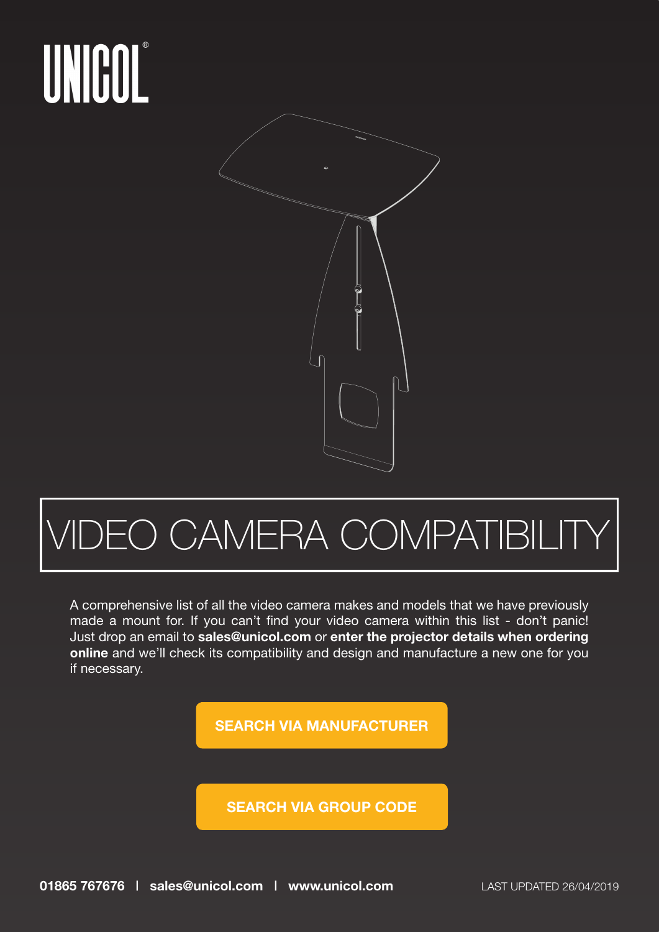

#### **JEO CAMERA COMPATIBILIT**

A comprehensive list of all the video camera makes and models that we have previously made a mount for. If you can't find your video camera within this list - don't panic! Just drop an email to **sales@unicol.com** or **enter the projector details when ordering online** and we'll check its compatibility and design and manufacture a new one for you if necessary.

**[SEARCH VIA MANUFACTURER](#page-5-0)**

**[SEARCH VIA GROUP CODE](#page-1-0)**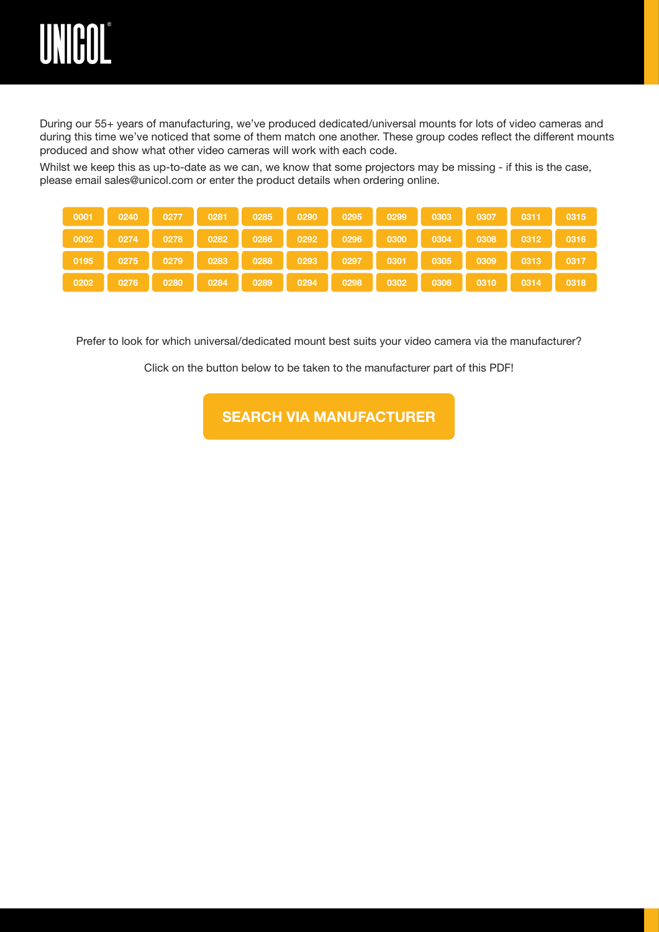<span id="page-1-0"></span>

During our 55+ years of manufacturing, we've produced dedicated/universal mounts for lots of video cameras and during this time we've noticed that some of them match one another. These group codes reflect the different mounts produced and show what other video cameras will work with each code.

Whilst we keep this as up-to-date as we can, we know that some projectors may be missing - if this is the case, please email sales@unicol.com or enter the product details when ordering online.

| 0001 | 0240 |      | 0277 0281 0285 |           | 0290 | 0295 |                                                                      | 0299 0303 | 0307 | $0311$ 0315                                 |      |
|------|------|------|----------------|-----------|------|------|----------------------------------------------------------------------|-----------|------|---------------------------------------------|------|
| 0002 |      |      |                |           |      |      | 0274    0278    0282    0286    0292    0296    0300    0304    0308 |           |      | $0312$ 0316                                 |      |
| 0195 |      |      |                |           |      |      | 0275 0279 0283 0288 0293 0297 0301 0305 0309 1                       |           |      | $\begin{bmatrix} 0313 & 0317 \end{bmatrix}$ |      |
| 0202 | 0276 | 0280 |                | 0284 0289 | 0294 |      | 0298 0302                                                            | 0306      | 0310 | $\sim$ 0314                                 | 0318 |

Prefer to look for which universal/dedicated mount best suits your video camera via the manufacturer?

Click on the button below to be taken to the manufacturer part of this PDF!

**[SEARCH VIA MANUFACTURER](#page-5-0)**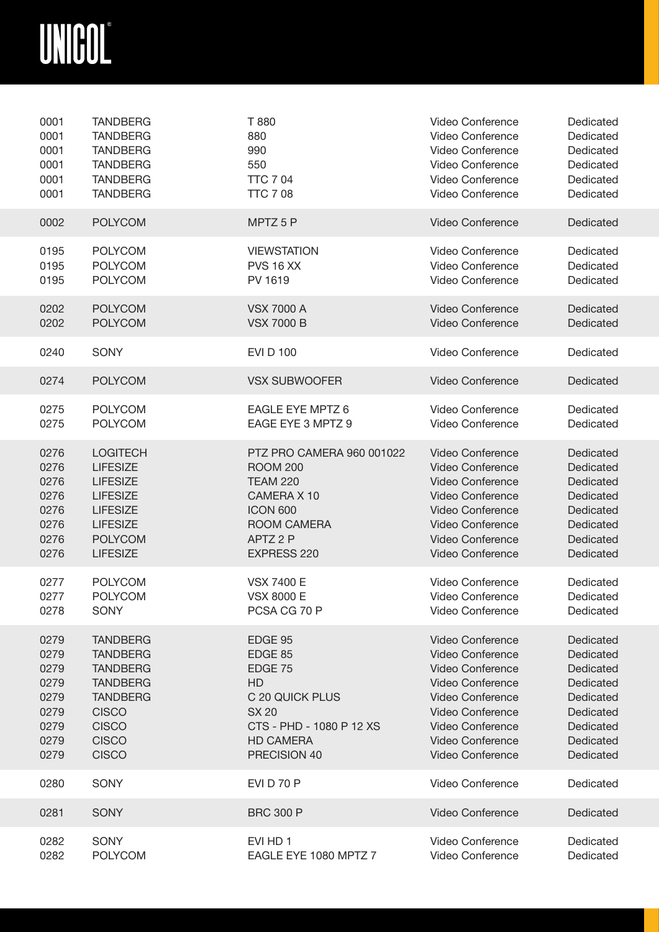<span id="page-2-0"></span>

| 0001 | <b>TANDBERG</b> | T 880                     | Video Conference        | Dedicated |
|------|-----------------|---------------------------|-------------------------|-----------|
| 0001 | <b>TANDBERG</b> | 880                       | Video Conference        | Dedicated |
| 0001 | <b>TANDBERG</b> | 990                       | Video Conference        | Dedicated |
| 0001 | <b>TANDBERG</b> | 550                       | Video Conference        | Dedicated |
| 0001 | <b>TANDBERG</b> | <b>TTC 704</b>            | Video Conference        | Dedicated |
| 0001 | <b>TANDBERG</b> | <b>TTC 7 08</b>           | Video Conference        | Dedicated |
| 0002 | <b>POLYCOM</b>  | MPTZ 5 P                  | Video Conference        | Dedicated |
| 0195 | <b>POLYCOM</b>  | <b>VIEWSTATION</b>        | Video Conference        | Dedicated |
| 0195 | <b>POLYCOM</b>  | <b>PVS 16 XX</b>          | Video Conference        | Dedicated |
| 0195 | <b>POLYCOM</b>  | PV 1619                   | Video Conference        | Dedicated |
| 0202 | <b>POLYCOM</b>  | <b>VSX 7000 A</b>         | <b>Video Conference</b> | Dedicated |
| 0202 | <b>POLYCOM</b>  | <b>VSX 7000 B</b>         | Video Conference        | Dedicated |
| 0240 | <b>SONY</b>     | <b>EVI D 100</b>          | Video Conference        | Dedicated |
| 0274 | <b>POLYCOM</b>  | <b>VSX SUBWOOFER</b>      | <b>Video Conference</b> | Dedicated |
| 0275 | <b>POLYCOM</b>  | EAGLE EYE MPTZ 6          | <b>Video Conference</b> | Dedicated |
| 0275 | <b>POLYCOM</b>  | EAGE EYE 3 MPTZ 9         | <b>Video Conference</b> | Dedicated |
| 0276 | <b>LOGITECH</b> | PTZ PRO CAMERA 960 001022 | <b>Video Conference</b> | Dedicated |
| 0276 | <b>LIFESIZE</b> | <b>ROOM 200</b>           | <b>Video Conference</b> | Dedicated |
| 0276 | <b>LIFESIZE</b> | <b>TEAM 220</b>           | Video Conference        | Dedicated |
| 0276 | <b>LIFESIZE</b> | CAMERA X 10               | Video Conference        | Dedicated |
| 0276 | <b>LIFESIZE</b> | <b>ICON 600</b>           | <b>Video Conference</b> | Dedicated |
| 0276 | <b>LIFESIZE</b> | ROOM CAMERA               | <b>Video Conference</b> | Dedicated |
| 0276 | <b>POLYCOM</b>  | APTZ 2 P                  | <b>Video Conference</b> | Dedicated |
| 0276 | <b>LIFESIZE</b> | EXPRESS 220               | Video Conference        | Dedicated |
| 0277 | <b>POLYCOM</b>  | <b>VSX 7400 E</b>         | <b>Video Conference</b> | Dedicated |
| 0277 | <b>POLYCOM</b>  | <b>VSX 8000 E</b>         | Video Conference        | Dedicated |
| 0278 | <b>SONY</b>     | PCSA CG 70 P              | <b>Video Conference</b> | Dedicated |
| 0279 | <b>TANDBERG</b> | EDGE 95                   | Video Conference        | Dedicated |
| 0279 | <b>TANDBERG</b> | EDGE 85                   | <b>Video Conference</b> | Dedicated |
| 0279 | <b>TANDBERG</b> | EDGE 75                   | <b>Video Conference</b> | Dedicated |
| 0279 | <b>TANDBERG</b> | <b>HD</b>                 | <b>Video Conference</b> | Dedicated |
| 0279 | <b>TANDBERG</b> | C 20 QUICK PLUS           | <b>Video Conference</b> | Dedicated |
| 0279 | <b>CISCO</b>    | <b>SX 20</b>              | <b>Video Conference</b> | Dedicated |
| 0279 | <b>CISCO</b>    | CTS - PHD - 1080 P 12 XS  | <b>Video Conference</b> | Dedicated |
| 0279 | <b>CISCO</b>    | <b>HD CAMERA</b>          | <b>Video Conference</b> | Dedicated |
| 0279 | <b>CISCO</b>    | PRECISION 40              | <b>Video Conference</b> | Dedicated |
| 0280 | SONY            | <b>EVI D 70 P</b>         | <b>Video Conference</b> | Dedicated |
| 0281 | <b>SONY</b>     | <b>BRC 300 P</b>          | <b>Video Conference</b> | Dedicated |
| 0282 | SONY            | EVI HD 1                  | Video Conference        | Dedicated |
| 0282 | <b>POLYCOM</b>  | EAGLE EYE 1080 MPTZ 7     | Video Conference        | Dedicated |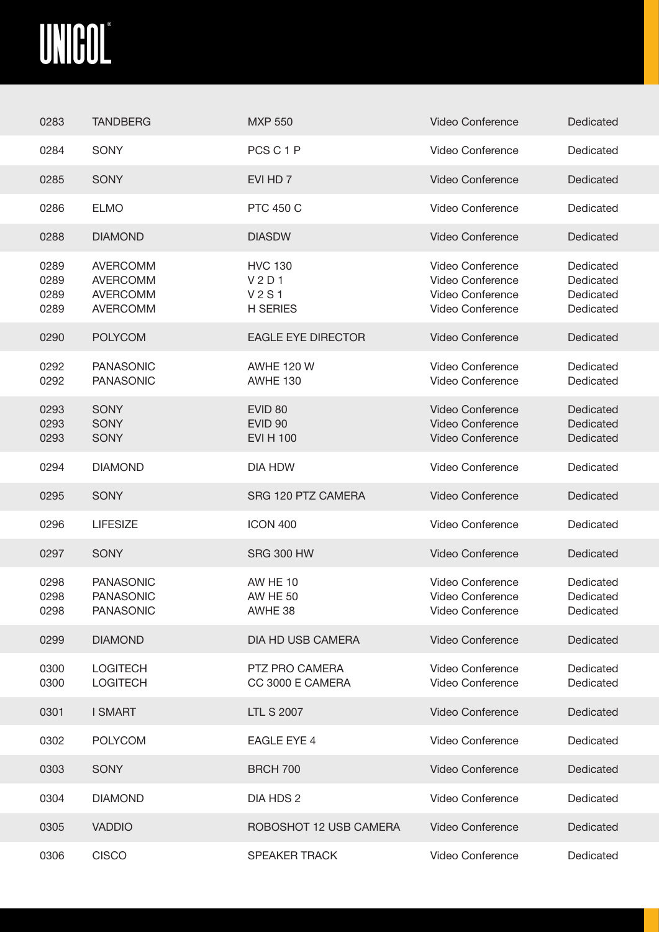<span id="page-3-0"></span>

| 0283                         | <b>TANDBERG</b>                                                          | <b>MXP 550</b>                                                             | <b>Video Conference</b>                                                                           | Dedicated                                        |
|------------------------------|--------------------------------------------------------------------------|----------------------------------------------------------------------------|---------------------------------------------------------------------------------------------------|--------------------------------------------------|
| 0284                         | <b>SONY</b>                                                              | PCS C 1 P                                                                  | <b>Video Conference</b>                                                                           | Dedicated                                        |
| 0285                         | <b>SONY</b>                                                              | EVI HD 7                                                                   | <b>Video Conference</b>                                                                           | Dedicated                                        |
| 0286                         | <b>ELMO</b>                                                              | <b>PTC 450 C</b>                                                           | Video Conference                                                                                  | Dedicated                                        |
| 0288                         | <b>DIAMOND</b>                                                           | <b>DIASDW</b>                                                              | <b>Video Conference</b>                                                                           | Dedicated                                        |
| 0289<br>0289<br>0289<br>0289 | <b>AVERCOMM</b><br><b>AVERCOMM</b><br><b>AVERCOMM</b><br><b>AVERCOMM</b> | <b>HVC 130</b><br>V <sub>2</sub> D <sub>1</sub><br>V2S1<br><b>H SERIES</b> | Video Conference<br><b>Video Conference</b><br><b>Video Conference</b><br><b>Video Conference</b> | Dedicated<br>Dedicated<br>Dedicated<br>Dedicated |
| 0290                         | <b>POLYCOM</b>                                                           | <b>EAGLE EYE DIRECTOR</b>                                                  | <b>Video Conference</b>                                                                           | Dedicated                                        |
| 0292<br>0292                 | <b>PANASONIC</b><br><b>PANASONIC</b>                                     | <b>AWHE 120 W</b><br><b>AWHE 130</b>                                       | <b>Video Conference</b><br>Video Conference                                                       | Dedicated<br>Dedicated                           |
| 0293<br>0293<br>0293         | <b>SONY</b><br><b>SONY</b><br><b>SONY</b>                                | EVID <sub>80</sub><br><b>EVID 90</b><br><b>EVI H 100</b>                   | <b>Video Conference</b><br><b>Video Conference</b><br><b>Video Conference</b>                     | Dedicated<br>Dedicated<br>Dedicated              |
| 0294                         | <b>DIAMOND</b>                                                           | <b>DIA HDW</b>                                                             | Video Conference                                                                                  | Dedicated                                        |
| 0295                         | <b>SONY</b>                                                              | SRG 120 PTZ CAMERA                                                         | <b>Video Conference</b>                                                                           | Dedicated                                        |
| 0296                         | <b>LIFESIZE</b>                                                          | <b>ICON 400</b>                                                            | Video Conference                                                                                  | Dedicated                                        |
| 0297                         | <b>SONY</b>                                                              | <b>SRG 300 HW</b>                                                          | <b>Video Conference</b>                                                                           | Dedicated                                        |
| 0298<br>0298<br>0298         | <b>PANASONIC</b><br><b>PANASONIC</b><br><b>PANASONIC</b>                 | <b>AW HE 10</b><br><b>AW HE 50</b><br>AWHE 38                              | <b>Video Conference</b><br>Video Conference<br>Video Conference                                   | Dedicated<br>Dedicated<br>Dedicated              |
| 0299                         | <b>DIAMOND</b>                                                           | DIA HD USB CAMERA                                                          | <b>Video Conference</b>                                                                           | Dedicated                                        |
| 0300<br>0300                 | <b>LOGITECH</b><br><b>LOGITECH</b>                                       | PTZ PRO CAMERA<br>CC 3000 E CAMERA                                         | <b>Video Conference</b><br>Video Conference                                                       | Dedicated<br>Dedicated                           |
| 0301                         | <b>I SMART</b>                                                           | <b>LTL S 2007</b>                                                          | Video Conference                                                                                  | Dedicated                                        |
| 0302                         | <b>POLYCOM</b>                                                           | <b>EAGLE EYE 4</b>                                                         | Video Conference                                                                                  | Dedicated                                        |
| 0303                         | <b>SONY</b>                                                              | <b>BRCH 700</b>                                                            | <b>Video Conference</b>                                                                           | Dedicated                                        |
| 0304                         | <b>DIAMOND</b>                                                           | DIA HDS 2                                                                  | Video Conference                                                                                  | Dedicated                                        |
| 0305                         | <b>VADDIO</b>                                                            | ROBOSHOT 12 USB CAMERA                                                     | <b>Video Conference</b>                                                                           | Dedicated                                        |
| 0306                         | <b>CISCO</b>                                                             | <b>SPEAKER TRACK</b>                                                       | Video Conference                                                                                  | Dedicated                                        |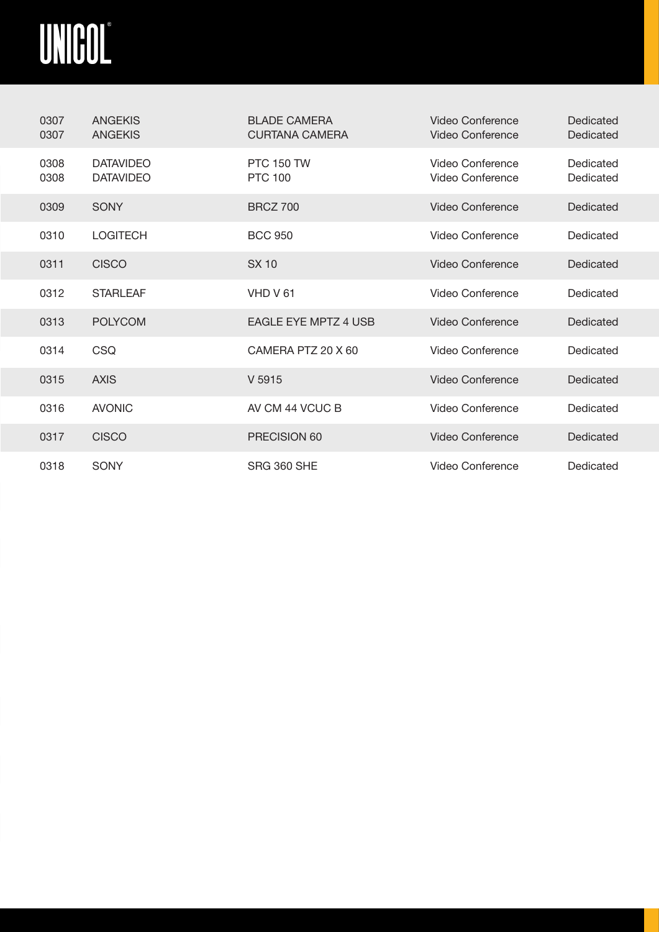<span id="page-4-0"></span>

| 0307<br>0307 | <b>ANGEKIS</b><br><b>ANGEKIS</b>     | <b>BLADE CAMERA</b><br><b>CURTANA CAMERA</b> | Video Conference<br>Video Conference | Dedicated<br>Dedicated |
|--------------|--------------------------------------|----------------------------------------------|--------------------------------------|------------------------|
| 0308<br>0308 | <b>DATAVIDEO</b><br><b>DATAVIDEO</b> | <b>PTC 150 TW</b><br><b>PTC 100</b>          | Video Conference<br>Video Conference | Dedicated<br>Dedicated |
| 0309         | <b>SONY</b>                          | <b>BRCZ 700</b>                              | Video Conference                     | Dedicated              |
| 0310         | <b>LOGITECH</b>                      | <b>BCC 950</b>                               | Video Conference                     | Dedicated              |
| 0311         | <b>CISCO</b>                         | <b>SX 10</b>                                 | Video Conference                     | Dedicated              |
| 0312         | <b>STARLEAF</b>                      | VHD V61                                      | Video Conference                     | Dedicated              |
| 0313         | <b>POLYCOM</b>                       | <b>EAGLE EYE MPTZ 4 USB</b>                  | Video Conference                     | Dedicated              |
| 0314         | <b>CSQ</b>                           | CAMERA PTZ 20 X 60                           | Video Conference                     | Dedicated              |
| 0315         | <b>AXIS</b>                          | V 5915                                       | Video Conference                     | Dedicated              |
| 0316         | <b>AVONIC</b>                        | AV CM 44 VCUC B                              | Video Conference                     | Dedicated              |
| 0317         | <b>CISCO</b>                         | PRECISION 60                                 | Video Conference                     | Dedicated              |
| 0318         | <b>SONY</b>                          | <b>SRG 360 SHE</b>                           | Video Conference                     | Dedicated              |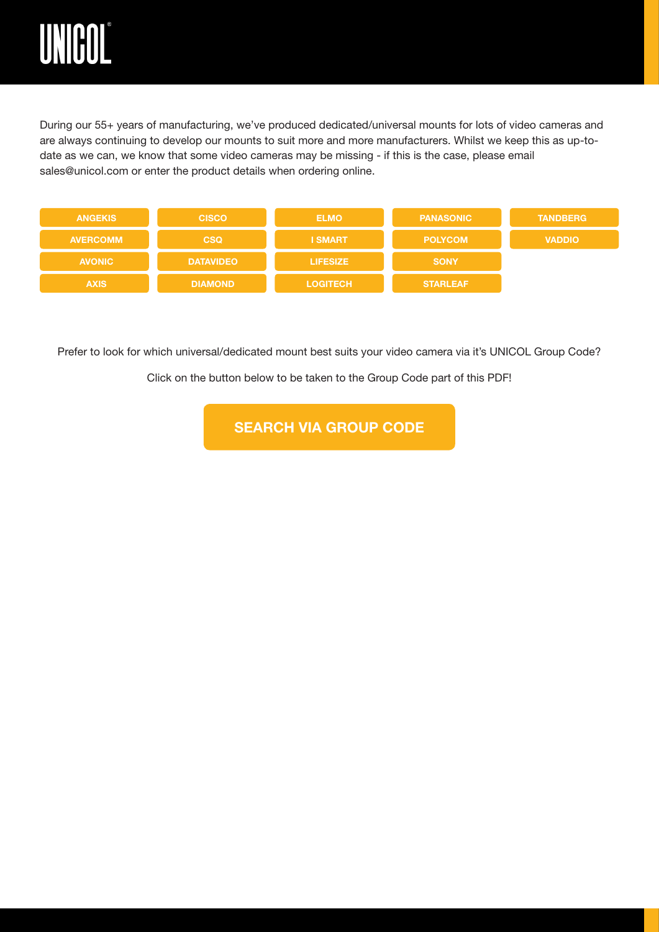<span id="page-5-0"></span>

During our 55+ years of manufacturing, we've produced dedicated/universal mounts for lots of video cameras and are always continuing to develop our mounts to suit more and more manufacturers. Whilst we keep this as up-todate as we can, we know that some video cameras may be missing - if this is the case, please email sales@unicol.com or enter the product details when ordering online.

| <b>ANGEKIS</b>  | <b>CISCO</b>     | <b>ELMO</b>     | <b>PANASONIC</b> | <b>TANDBERG</b> |
|-----------------|------------------|-----------------|------------------|-----------------|
| <b>AVERCOMM</b> | <b>CSQ</b>       | <b>I SMART</b>  | <b>POLYCOM</b>   | <b>VADDIO</b>   |
| <b>AVONIC</b>   | <b>DATAVIDEO</b> | <b>LIFESIZE</b> | <b>SONY</b>      |                 |
| <b>AXIS</b>     | <b>DIAMOND</b>   | <b>LOGITECH</b> | <b>STARLEAF</b>  |                 |

Prefer to look for which universal/dedicated mount best suits your video camera via it's UNICOL Group Code?

Click on the button below to be taken to the Group Code part of this PDF!

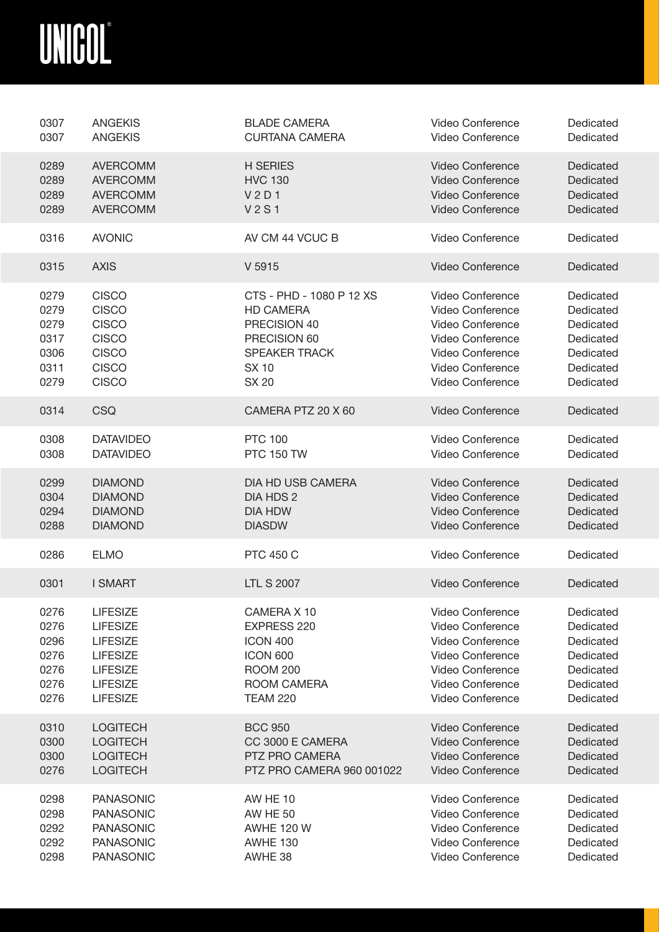<span id="page-6-0"></span>

| 0307 | <b>ANGEKIS</b>   | <b>BLADE CAMERA</b>           | Video Conference        | Dedicated |
|------|------------------|-------------------------------|-------------------------|-----------|
| 0307 | <b>ANGEKIS</b>   | <b>CURTANA CAMERA</b>         | Video Conference        | Dedicated |
| 0289 | <b>AVERCOMM</b>  | <b>H SERIES</b>               | <b>Video Conference</b> | Dedicated |
| 0289 | <b>AVERCOMM</b>  | <b>HVC 130</b>                | <b>Video Conference</b> | Dedicated |
| 0289 | <b>AVERCOMM</b>  | V <sub>2</sub> D <sub>1</sub> | Video Conference        | Dedicated |
| 0289 | <b>AVERCOMM</b>  | <b>V2S1</b>                   | Video Conference        | Dedicated |
| 0316 | <b>AVONIC</b>    | AV CM 44 VCUC B               | Video Conference        | Dedicated |
| 0315 | <b>AXIS</b>      | V 5915                        | <b>Video Conference</b> | Dedicated |
| 0279 | <b>CISCO</b>     | CTS - PHD - 1080 P 12 XS      | Video Conference        | Dedicated |
| 0279 | <b>CISCO</b>     | <b>HD CAMERA</b>              | Video Conference        | Dedicated |
| 0279 | <b>CISCO</b>     | PRECISION 40                  | Video Conference        | Dedicated |
| 0317 | <b>CISCO</b>     | PRECISION 60                  | Video Conference        | Dedicated |
| 0306 | <b>CISCO</b>     | <b>SPEAKER TRACK</b>          | Video Conference        | Dedicated |
| 0311 | <b>CISCO</b>     | <b>SX 10</b>                  | <b>Video Conference</b> | Dedicated |
| 0279 | <b>CISCO</b>     | <b>SX 20</b>                  | <b>Video Conference</b> | Dedicated |
| 0314 | <b>CSQ</b>       | CAMERA PTZ 20 X 60            | Video Conference        | Dedicated |
| 0308 | <b>DATAVIDEO</b> | <b>PTC 100</b>                | Video Conference        | Dedicated |
| 0308 | <b>DATAVIDEO</b> | <b>PTC 150 TW</b>             | Video Conference        | Dedicated |
| 0299 | <b>DIAMOND</b>   | <b>DIA HD USB CAMERA</b>      | <b>Video Conference</b> | Dedicated |
| 0304 | <b>DIAMOND</b>   | DIA HDS 2                     | <b>Video Conference</b> | Dedicated |
| 0294 | <b>DIAMOND</b>   | <b>DIA HDW</b>                | <b>Video Conference</b> | Dedicated |
| 0288 | <b>DIAMOND</b>   | <b>DIASDW</b>                 | Video Conference        | Dedicated |
| 0286 | <b>ELMO</b>      | <b>PTC 450 C</b>              | <b>Video Conference</b> | Dedicated |
| 0301 | <b>I SMART</b>   | <b>LTL S 2007</b>             | <b>Video Conference</b> | Dedicated |
| 0276 | <b>LIFESIZE</b>  | CAMERA X 10                   | Video Conference        | Dedicated |
| 0276 | <b>LIFESIZE</b>  | EXPRESS 220                   | Video Conference        | Dedicated |
| 0296 | <b>LIFESIZE</b>  | <b>ICON 400</b>               | Video Conference        | Dedicated |
| 0276 | <b>LIFESIZE</b>  | <b>ICON 600</b>               | Video Conference        | Dedicated |
| 0276 | <b>LIFESIZE</b>  | <b>ROOM 200</b>               | Video Conference        | Dedicated |
| 0276 | <b>LIFESIZE</b>  | ROOM CAMERA                   | Video Conference        | Dedicated |
| 0276 | <b>LIFESIZE</b>  | <b>TEAM 220</b>               | Video Conference        | Dedicated |
| 0310 | <b>LOGITECH</b>  | <b>BCC 950</b>                | <b>Video Conference</b> | Dedicated |
| 0300 | <b>LOGITECH</b>  | CC 3000 E CAMERA              | <b>Video Conference</b> | Dedicated |
| 0300 | <b>LOGITECH</b>  | PTZ PRO CAMERA                | <b>Video Conference</b> | Dedicated |
| 0276 | <b>LOGITECH</b>  | PTZ PRO CAMERA 960 001022     | <b>Video Conference</b> | Dedicated |
| 0298 | <b>PANASONIC</b> | <b>AW HE 10</b>               | Video Conference        | Dedicated |
| 0298 | <b>PANASONIC</b> | <b>AW HE 50</b>               | Video Conference        | Dedicated |
| 0292 | <b>PANASONIC</b> | <b>AWHE 120 W</b>             | Video Conference        | Dedicated |
| 0292 | <b>PANASONIC</b> | <b>AWHE 130</b>               | Video Conference        | Dedicated |
| 0298 | <b>PANASONIC</b> | AWHE 38                       | Video Conference        | Dedicated |